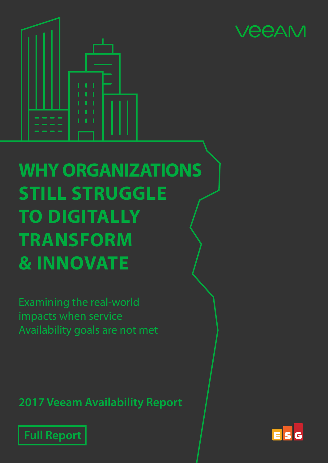



# **WHY ORGANIZATIONS STILL STRUGGLE TO DIGITALLY TRANSFORM & INNOVATE**

Examining the real-world impacts when service Availability goals are not met

**2017 Veeam Availability Report**



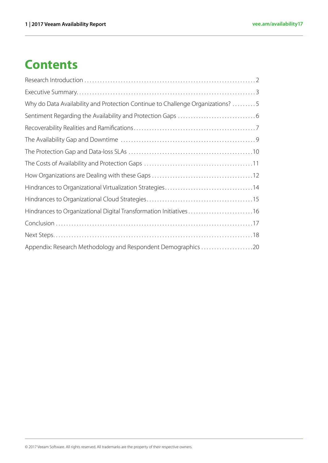# **Contents**

| Why do Data Availability and Protection Continue to Challenge Organizations? 5 |
|--------------------------------------------------------------------------------|
|                                                                                |
|                                                                                |
|                                                                                |
|                                                                                |
|                                                                                |
|                                                                                |
|                                                                                |
|                                                                                |
|                                                                                |
|                                                                                |
|                                                                                |
| Appendix: Research Methodology and Respondent Demographics 20                  |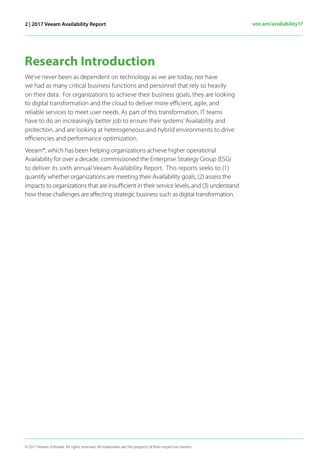# <span id="page-2-0"></span>**Research Introduction**

We've never been as dependent on technology as we are today, nor have we had as many critical business functions and personnel that rely so heavily on their data. For organizations to achieve their business goals, they are looking to digital transformation and the cloud to deliver more efficient, agile, and reliable services to meet user needs. As part of this transformation, IT teams have to do an increasingly better job to ensure their systems' Availability and protection, and are looking at heterogeneous and hybrid environments to drive efficiencies and performance optimization.

Veeam®, which has been helping organizations achieve higher operational Availability for over a decade, commissioned the Enterprise Strategy Group (ESG) to deliver its sixth annual Veeam Availability Report. This reports seeks to (1) quantify whether organizations are meeting their Availability goals, (2) assess the impacts to organizations that are insufficient in their service levels, and (3) understand how these challenges are affecting strategic business such as digital transformation.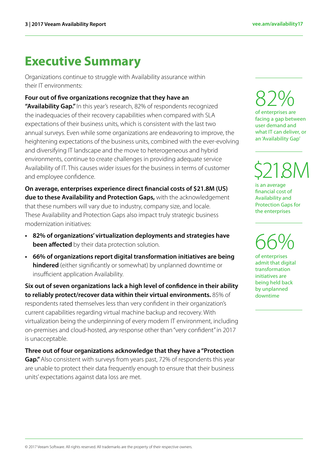### <span id="page-3-0"></span>**Executive Summary**

Organizations continue to struggle with Availability assurance within their IT environments:

#### **Four out of five organizations recognize that they have an**

**"Availability Gap."** In this year's research, 82% of respondents recognized the inadequacies of their recovery capabilities when compared with SLA expectations of their business units, which is consistent with the last two annual surveys. Even while some organizations are endeavoring to improve, the heightening expectations of the business units, combined with the ever-evolving and diversifying IT landscape and the move to heterogeneous and hybrid environments, continue to create challenges in providing adequate service Availability of IT. This causes wider issues for the business in terms of customer and employee confidence.

**On average, enterprises experience direct financial costs of \$21.8M (US) due to these Availability and Protection Gaps,** with the acknowledgement that these numbers will vary due to industry, company size, and locale. These Availability and Protection Gaps also impact truly strategic business modernization initiatives:

- **• 82% of organizations' virtualization deployments and strategies have been affected** by their data protection solution.
- **• 66% of organizations report digital transformation initiatives are being hindered** (either significantly or somewhat) by unplanned downtime or insufficient application Availability.

**Six out of seven organizations lack a high level of confidence in their ability to reliably protect/recover data within their virtual environments.** 85% of respondents rated themselves less than very confident in their organization's current capabilities regarding virtual machine backup and recovery. With virtualization being the underpinning of every modern IT environment, including on-premises and cloud-hosted, any response other than "very confident" in 2017 is unacceptable.

**Three out of four organizations acknowledge that they have a "Protection Gap."** Also consistent with surveys from years past, 72% of respondents this year are unable to protect their data frequently enough to ensure that their business units' expectations against data loss are met.

82% of enterprises are facing a gap between user demand and what IT can deliver, or an 'Availability Gap'

\$21 .8M

is an average financial cost of Availability and Protection Gaps for the enterprises

66%

of enterprises admit that digital transformation initiatives are being held back by unplanned downtime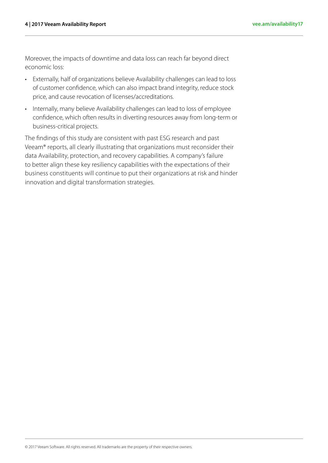Moreover, the impacts of downtime and data loss can reach far beyond direct economic loss:

- Externally, half of organizations believe Availability challenges can lead to loss of customer confidence, which can also impact brand integrity, reduce stock price, and cause revocation of licenses/accreditations.
- Internally, many believe Availability challenges can lead to loss of employee confidence, which often results in diverting resources away from long-term or business-critical projects.

The findings of this study are consistent with past ESG research and past Veeam® reports, all clearly illustrating that organizations must reconsider their data Availability, protection, and recovery capabilities. A company's failure to better align these key resiliency capabilities with the expectations of their business constituents will continue to put their organizations at risk and hinder innovation and digital transformation strategies.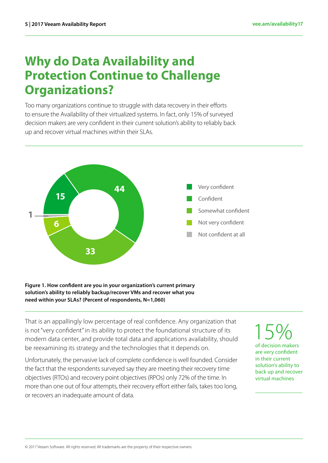### <span id="page-5-0"></span>**Why do Data Availability and Protection Continue to Challenge Organizations?**

Too many organizations continue to struggle with data recovery in their efforts to ensure the Availability of their virtualized systems. In fact, only 15% of surveyed decision makers are very confident in their current solution's ability to reliably back up and recover virtual machines within their SLAs.



#### **Figure 1. How confident are you in your organization's current primary solution's ability to reliably backup/recover VMs and recover what you need within your SLAs? (Percent of respondents, N=1,060)**

That is an appallingly low percentage of real confidence. Any organization that is not "very confident" in its ability to protect the foundational structure of its modern data center, and provide total data and applications availability, should be reexamining its strategy and the technologies that it depends on.

Unfortunately, the pervasive lack of complete confidence is well founded. Consider the fact that the respondents surveyed say they are meeting their recovery time objectives (RTOs) and recovery point objectives (RPOs) only 72% of the time. In more than one out of four attempts, their recovery effort either fails, takes too long, or recovers an inadequate amount of data.

15% of decision makers are very confident in their current solution's ability to back up and recover virtual machines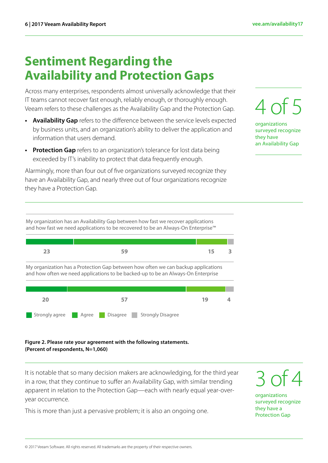# <span id="page-6-0"></span>**Sentiment Regarding the Availability and Protection Gaps**

Across many enterprises, respondents almost universally acknowledge that their IT teams cannot recover fast enough, reliably enough, or thoroughly enough. Veeam refers to these challenges as the Availability Gap and the Protection Gap.

- **• Availability Gap** refers to the difference between the service levels expected by business units, and an organization's ability to deliver the application and information that users demand.
- **• Protection Gap** refers to an organization's tolerance for lost data being exceeded by IT's inability to protect that data frequently enough.

Alarmingly, more than four out of five organizations surveyed recognize they have an Availability Gap, and nearly three out of four organizations recognize they have a Protection Gap.

My organization has an Availability Gap between how fast we recover applications and how fast we need applications to be recovered to be an Always-On Enterprise™





#### **Figure 2. Please rate your agreement with the following statements. (Percent of respondents, N=1,060)**

It is notable that so many decision makers are acknowledging, for the third year in a row, that they continue to suffer an Availability Gap, with similar trending apparent in relation to the Protection Gap—each with nearly equal year-overyear occurrence.

This is more than just a pervasive problem; it is also an ongoing one.



organizations surveyed recognize they have an Availability Gap

3 of 4

organizations surveyed recognize they have a Protection Gap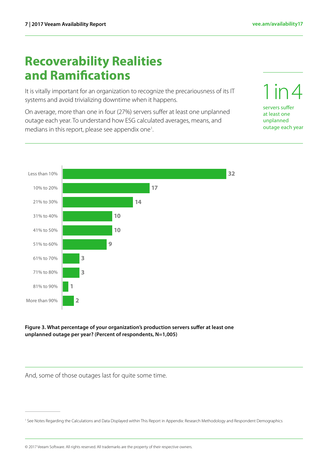servers suffer at least one unplanned outage each year

1 in 4

## <span id="page-7-0"></span>**Recoverability Realities and Ramifications**

It is vitally important for an organization to recognize the precariousness of its IT systems and avoid trivializing downtime when it happens.

On average, more than one in four (27%) servers suffer at least one unplanned outage each year. To understand how ESG calculated averages, means, and medians in this report, please see appendix one<sup>1</sup>. .



#### **Figure 3. What percentage of your organization's production servers suffer at least one unplanned outage per year? (Percent of respondents, N=1,005)**

And, some of those outages last for quite some time.

© 2017 Veeam Software. All rights reserved. All trademarks are the property of their respective owners.

<sup>&</sup>lt;sup>1</sup> See Notes Regarding the Calculations and Data Displayed within This Report in Appendix: Research Methodology and Respondent Demographics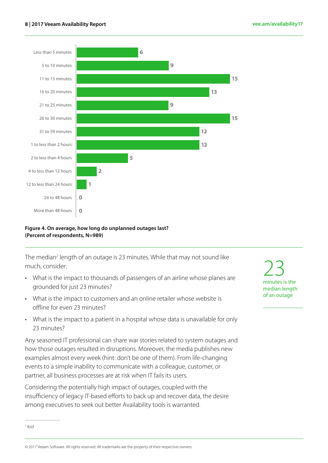

#### **Figure 4. On average, how long do unplanned outages last? (Percent of respondents, N=989)**

The median<sup>2</sup> length of an outage is 23 minutes. While that may not sound like much, consider:

- What is the impact to thousands of passengers of an airline whose planes are grounded for just 23 minutes?
- What is the impact to customers and an online retailer whose website is offline for even 23 minutes?
- What is the impact to a patient in a hospital whose data is unavailable for only 23 minutes?

Any seasoned IT professional can share war stories related to system outages and how those outages resulted in disruptions. Moreover, the media publishes new examples almost every week (hint: don't be one of them). From life-changing events to a simple inability to communicate with a colleague, customer, or partner, all business processes are at risk when IT fails its users.

Considering the potentially high impact of outages, coupled with the insufficiency of legacy IT-based efforts to back up and recover data, the desire among executives to seek out better Availability tools is warranted.

23 minutes is the median length of an outage

2 Ibid

© 2017 Veeam Software. All rights reserved. All trademarks are the property of their respective owners.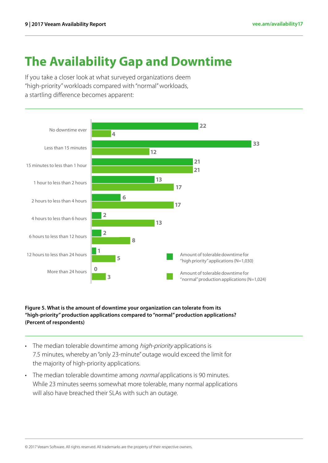# <span id="page-9-0"></span>**The Availability Gap and Downtime**

If you take a closer look at what surveyed organizations deem "high-priority" workloads compared with "normal" workloads, a startling difference becomes apparent:



#### **Figure 5. What is the amount of downtime your organization can tolerate from its "high-priority" production applications compared to "normal" production applications? (Percent of respondents)**

- The median tolerable downtime among *high-priority* applications is 7.5 minutes, whereby an "only 23-minute" outage would exceed the limit for the majority of high-priority applications.
- The median tolerable downtime among *normal* applications is 90 minutes. While 23 minutes seems somewhat more tolerable, many normal applications will also have breached their SLAs with such an outage.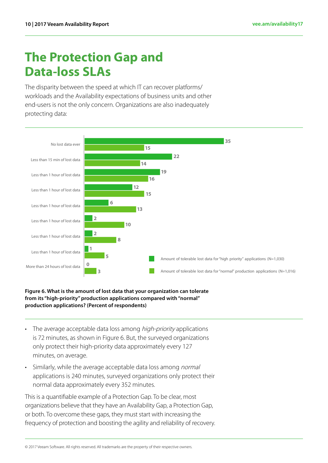### <span id="page-10-0"></span>**The Protection Gap and Data-loss SLAs**

The disparity between the speed at which IT can recover platforms/ workloads and the Availability expectations of business units and other end-users is not the only concern. Organizations are also inadequately protecting data:



#### **Figure 6. What is the amount of lost data that your organization can tolerate from its "high-priority" production applications compared with "normal" production applications? (Percent of respondents)**

- The average acceptable data loss among high-priority applications is 72 minutes, as shown in Figure 6. But, the surveyed organizations only protect their high-priority data approximately every 127 minutes, on average.
- Similarly, while the average acceptable data loss among normal applications is 240 minutes, surveyed organizations only protect their normal data approximately every 352 minutes.

This is a quantifiable example of a Protection Gap. To be clear, most organizations believe that they have an Availability Gap, a Protection Gap, or both. To overcome these gaps, they must start with increasing the frequency of protection and boosting the agility and reliability of recovery.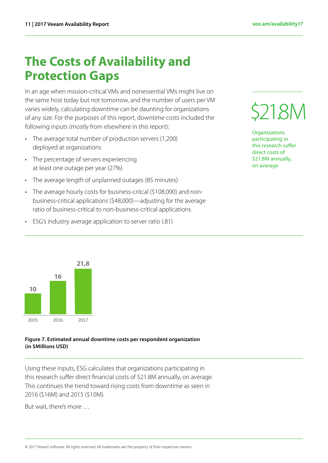# <span id="page-11-0"></span>**The Costs of Availability and Protection Gaps**

In an age when mission-critical VMs and nonessential VMs might live on the same host today but not tomorrow, and the number of users per VM varies widely, calculating downtime can be daunting for organizations of any size. For the purposes of this report, downtime costs included the following inputs (mostly from elsewhere in this report):

- The average total number of production servers (1,200) deployed at organizations
- The percentage of servers experiencing at least one outage per year (27%)
- The average length of unplanned outages (85 minutes)
- The average hourly costs for business-critcal (\$108,000) and nonbusiness-critical applications (\$48,000)—adjusting for the average ratio of business-critical to non-business-critical applications
- ESG's industry average application to server ratio (.81)



**Organizations** participating in this research suffer direct costs of \$21.8M annually, on average



#### **Figure 7. Estimated annual downtime costs per respondent organization (in \$Millions USD)**

Using these inputs, ESG calculates that organizations participating in this research suffer direct financial costs of \$21.8M annually, on average. This continues the trend toward rising costs from downtime as seen in 2016 (\$16M) and 2015 (\$10M).

But wait, there's more …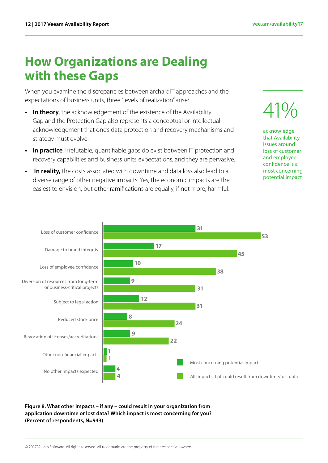### <span id="page-12-0"></span>**How Organizations are Dealing with these Gaps**

When you examine the discrepancies between archaic IT approaches and the expectations of business units, three "levels of realization" arise:

- **• In theory**, the acknowledgement of the existence of the Availability Gap and the Protection Gap also represents a conceptual or intellectual acknowledgement that one's data protection and recovery mechanisms and strategy must evolve.
- **• In practice**, irrefutable, quantifiable gaps do exist between IT protection and recovery capabilities and business units' expectations, and they are pervasive.
- **In reality,** the costs associated with downtime and data loss also lead to a diverse range of other negative impacts. Yes, the economic impacts are the easiest to envision, but other ramifications are equally, if not more, harmful.

41%

acknowledge that Availability issues around loss of customer and employee confidence is a most concerning potential impact



**Figure 8. What other impacts – if any – could result in your organization from application downtime or lost data? Which impact is most concerning for you? (Percent of respondents, N=943)**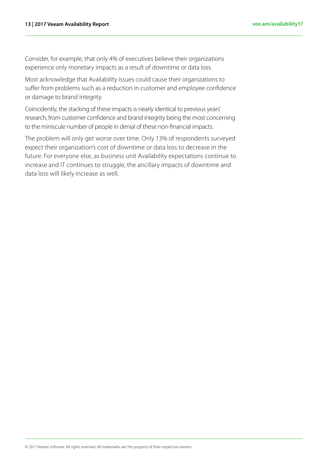Consider, for example, that only 4% of executives believe their organizations experience only monetary impacts as a result of downtime or data loss.

Most acknowledge that Availability issues could cause their organizations to suffer from problems such as a reduction in customer and employee confidence or damage to brand integrity.

Coincidently, the stacking of these impacts is nearly identical to previous years' research, from customer confidence and brand integrity being the most concerning to the miniscule number of people in denial of these non-financial impacts.

The problem will only get worse over time. Only 13% of respondents surveyed expect their organization's cost of downtime or data loss to decrease in the future. For everyone else, as business unit Availability expectations continue to increase and IT continues to struggle, the ancillary impacts of downtime and data loss will likely increase as well.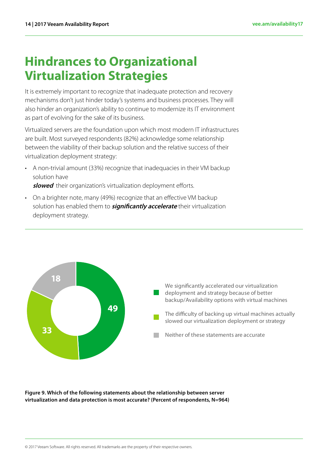# <span id="page-14-0"></span>**Hindrances to Organizational Virtualization Strategies**

It is extremely important to recognize that inadequate protection and recovery mechanisms don't just hinder today's systems and business processes. They will also hinder an organization's ability to continue to modernize its IT environment as part of evolving for the sake of its business.

Virtualized servers are the foundation upon which most modern IT infrastructures are built. Most surveyed respondents (82%) acknowledge some relationship between the viability of their backup solution and the relative success of their virtualization deployment strategy:

- A non-trivial amount (33%) recognize that inadequacies in their VM backup solution have **slowed** their organization's virtualization deployment efforts.
- On a brighter note, many (49%) recognize that an effective VM backup solution has enabled them to **significantly accelerate** their virtualization deployment strategy.



**Figure 9. Which of the following statements about the relationship between server virtualization and data protection is most accurate? (Percent of respondents, N=964)**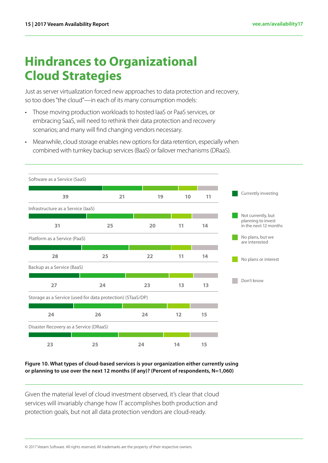# <span id="page-15-0"></span>**Hindrances to Organizational Cloud Strategies**

Just as server virtualization forced new approaches to data protection and recovery, so too does "the cloud"—in each of its many consumption models:

- Those moving production workloads to hosted IaaS or PaaS services, or embracing SaaS, will need to rethink their data protection and recovery scenarios; and many will find changing vendors necessary.
- Meanwhile, cloud storage enables new options for data retention, especially when combined with turnkey backup services (BaaS) or failover mechanisms (DRaaS).

| Software as a Service (SaaS)           |                                                            |    |    |    |
|----------------------------------------|------------------------------------------------------------|----|----|----|
| 39                                     | 21                                                         | 19 | 10 | 11 |
| Infrastructure as a Service (laaS)     |                                                            |    |    |    |
| 31                                     | 25                                                         | 20 | 11 | 14 |
| Platform as a Service (PaaS)           |                                                            |    |    |    |
| 28                                     | 25                                                         | 22 | 11 | 14 |
| Backup as a Service (BaaS)             |                                                            |    |    |    |
| 27                                     | 24                                                         | 23 | 13 | 13 |
|                                        | Storage as a Service (used for data protection) (STaaS/DP) |    |    |    |
| 24                                     | 26                                                         | 24 | 12 | 15 |
| Disaster Recovery as a Service (DRaaS) |                                                            |    |    |    |
| 23                                     | 25                                                         | 24 | 14 | 15 |

**Figure 10. What types of cloud-based services is your organization either currently using or planning to use over the next 12 months (if any)? (Percent of respondents, N=1,060)**

Given the material level of cloud investment observed, it's clear that cloud services will invariably change how IT accomplishes both production and protection goals, but not all data protection vendors are cloud-ready.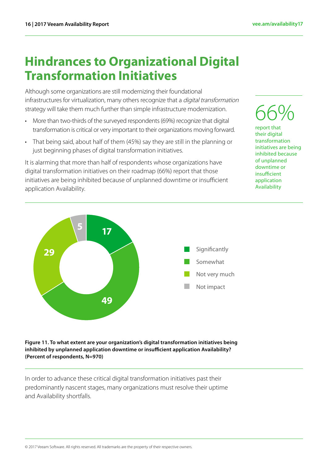### <span id="page-16-0"></span>**Hindrances to Organizational Digital Transformation Initiatives**

Although some organizations are still modernizing their foundational infrastructures for virtualization, many others recognize that a *digital transformation* strategy will take them much further than simple infrastructure modernization.

- More than two-thirds of the surveyed respondents (69%) recognize that digital transformation is critical or very important to their organizations moving forward.
- That being said, about half of them (45%) say they are still in the planning or just beginning phases of digital transformation initiatives.

It is alarming that more than half of respondents whose organizations have digital transformation initiatives on their roadmap (66%) report that those initiatives are being inhibited because of unplanned downtime or insufficient application Availability.



report that their digital transformation initiatives are being inhibited because of unplanned downtime or insufficient application Availability



**Figure 11. To what extent are your organization's digital transformation initiatives being inhibited by unplanned application downtime or insufficient application Availability? (Percent of respondents, N=970)**

In order to advance these critical digital transformation initiatives past their predominantly nascent stages, many organizations must resolve their uptime and Availability shortfalls.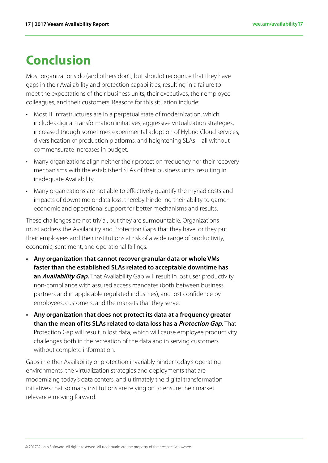# <span id="page-17-0"></span>**Conclusion**

Most organizations do (and others don't, but should) recognize that they have gaps in their Availability and protection capabilities, resulting in a failure to meet the expectations of their business units, their executives, their employee colleagues, and their customers. Reasons for this situation include:

- Most IT infrastructures are in a perpetual state of modernization, which includes digital transformation initiatives, aggressive virtualization strategies, increased though sometimes experimental adoption of Hybrid Cloud services, diversification of production platforms, and heightening SLAs—all without commensurate increases in budget.
- Many organizations align neither their protection frequency nor their recovery mechanisms with the established SLAs of their business units, resulting in inadequate Availability.
- Many organizations are not able to effectively quantify the myriad costs and impacts of downtime or data loss, thereby hindering their ability to garner economic and operational support for better mechanisms and results.

These challenges are not trivial, but they are surmountable. Organizations must address the Availability and Protection Gaps that they have, or they put their employees and their institutions at risk of a wide range of productivity, economic, sentiment, and operational failings.

- **• Any organization that cannot recover granular data or whole VMs faster than the established SLAs related to acceptable downtime has**  an **Availability Gap.** That Availability Gap will result in lost user productivity, non-compliance with assured access mandates (both between business partners and in applicable regulated industries), and lost confidence by employees, customers, and the markets that they serve.
- **• Any organization that does not protect its data at a frequency greater than the mean of its SLAs related to data loss has a Protection Gap.** That Protection Gap will result in lost data, which will cause employee productivity challenges both in the recreation of the data and in serving customers without complete information.

Gaps in either Availability or protection invariably hinder today's operating environments, the virtualization strategies and deployments that are modernizing today's data centers, and ultimately the digital transformation initiatives that so many institutions are relying on to ensure their market relevance moving forward.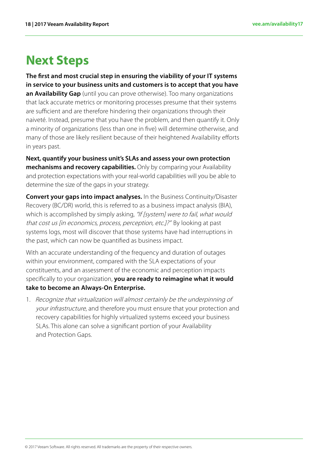### <span id="page-18-0"></span>**Next Steps**

**The first and most crucial step in ensuring the viability of your IT systems in service to your business units and customers is to accept that you have an Availability Gap** (until you can prove otherwise). Too many organizations that lack accurate metrics or monitoring processes presume that their systems are sufficient and are therefore hindering their organizations through their naiveté. Instead, presume that you have the problem, and then quantify it. Only a minority of organizations (less than one in five) will determine otherwise, and many of those are likely resilient because of their heightened Availability efforts in years past.

**Next, quantify your business unit's SLAs and assess your own protection mechanisms and recovery capabilities.** Only by comparing your Availability and protection expectations with your real-world capabilities will you be able to determine the size of the gaps in your strategy.

**Convert your gaps into impact analyses.** In the Business Continuity/Disaster Recovery (BC/DR) world, this is referred to as a business impact analysis (BIA), which is accomplished by simply asking, "If [system] were to fail, what would that cost us [in economics, process, perception, etc.]?" By looking at past systems logs, most will discover that those systems have had interruptions in the past, which can now be quantified as business impact.

With an accurate understanding of the frequency and duration of outages within your environment, compared with the SLA expectations of your constituents, and an assessment of the economic and perception impacts specifically to your organization, **you are ready to reimagine what it would take to become an Always-On Enterprise.**

1. Recognize that virtualization will almost certainly be the underpinning of your infrastructure, and therefore you must ensure that your protection and recovery capabilities for highly virtualized systems exceed your business SLAs. This alone can solve a significant portion of your Availability and Protection Gaps.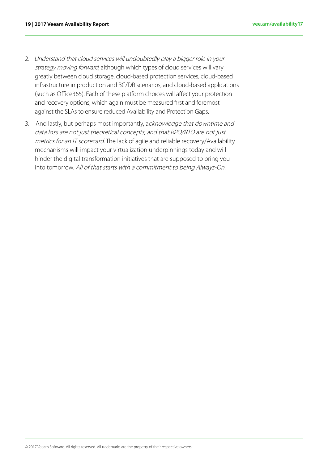- 2. Understand that cloud services will undoubtedly play a bigger role in your strategy moving forward, although which types of cloud services will vary greatly between cloud storage, cloud-based protection services, cloud-based infrastructure in production and BC/DR scenarios, and cloud-based applications (such as Office365). Each of these platform choices will affect your protection and recovery options, which again must be measured first and foremost against the SLAs to ensure reduced Availability and Protection Gaps.
- 3. And lastly, but perhaps most importantly, acknowledge that downtime and data loss are not just theoretical concepts, and that RPO/RTO are not just metrics for an IT scorecard. The lack of agile and reliable recovery/Availability mechanisms will impact your virtualization underpinnings today and will hinder the digital transformation initiatives that are supposed to bring you into tomorrow. All of that starts with a commitment to being Always-On.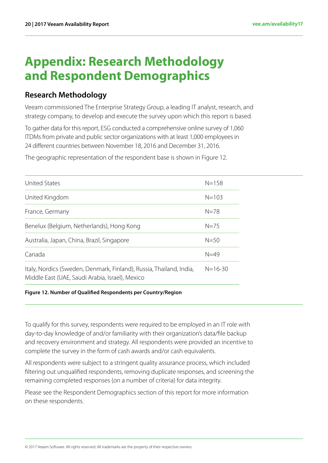### <span id="page-20-0"></span>**Appendix: Research Methodology and Respondent Demographics**

### **Research Methodology**

Veeam commissioned The Enterprise Strategy Group, a leading IT analyst, research, and strategy company, to develop and execute the survey upon which this report is based.

To gather data for this report, ESG conducted a comprehensive online survey of 1,060 ITDMs from private and public sector organizations with at least 1,000 employees in 24 different countries between November 18, 2016 and December 31, 2016.

The geographic representation of the respondent base is shown in Figure 12.

| <b>United States</b>                                                                                                   | $N = 158$     |
|------------------------------------------------------------------------------------------------------------------------|---------------|
| United Kingdom                                                                                                         | $N = 103$     |
| France, Germany                                                                                                        | $N = 78$      |
| Benelux (Belgium, Netherlands), Hong Kong                                                                              | $N=75$        |
| Australia, Japan, China, Brazil, Singapore                                                                             | $N = 50$      |
| Canada                                                                                                                 | $N=49$        |
| Italy, Nordics (Sweden, Denmark, Finland), Russia, Thailand, India,<br>Middle East (UAE, Saudi Arabia, Israel), Mexico | $N = 16 - 30$ |

#### **Figure 12. Number of Qualified Respondents per Country/Region**

To qualify for this survey, respondents were required to be employed in an IT role with day-to-day knowledge of and/or familiarity with their organization's data/file backup and recovery environment and strategy. All respondents were provided an incentive to complete the survey in the form of cash awards and/or cash equivalents.

All respondents were subject to a stringent quality assurance process, which included filtering out unqualified respondents, removing duplicate responses, and screening the remaining completed responses (on a number of criteria) for data integrity.

Please see the Respondent Demographics section of this report for more information on these respondents.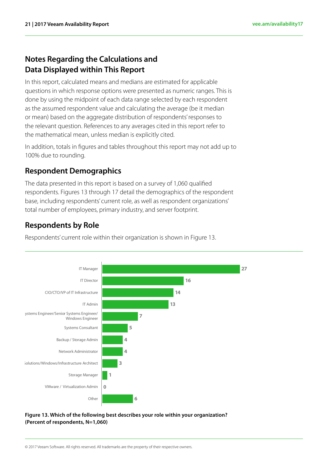### **Notes Regarding the Calculations and Data Displayed within This Report**

In this report, calculated means and medians are estimated for applicable questions in which response options were presented as numeric ranges. This is done by using the midpoint of each data range selected by each respondent as the assumed respondent value and calculating the average (be it median or mean) based on the aggregate distribution of respondents' responses to the relevant question. References to any averages cited in this report refer to the mathematical mean, unless median is explicitly cited.

In addition, totals in figures and tables throughout this report may not add up to 100% due to rounding.

### **Respondent Demographics**

The data presented in this report is based on a survey of 1,060 qualified respondents. Figures 13 through 17 detail the demographics of the respondent base, including respondents' current role, as well as respondent organizations' total number of employees, primary industry, and server footprint.

### **Respondents by Role**

Respondents' current role within their organization is shown in Figure 13.



**Figure 13. Which of the following best describes your role within your organization? (Percent of respondents, N=1,060)**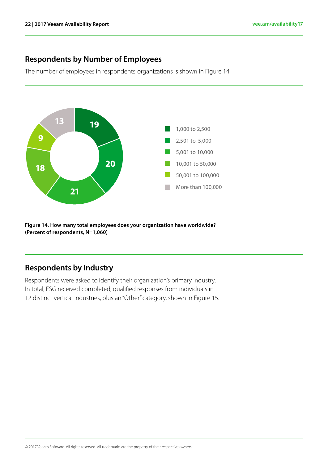### **Respondents by Number of Employees**

The number of employees in respondents' organizations is shown in Figure 14.



**Figure 14. How many total employees does your organization have worldwide? (Percent of respondents, N=1,060)**

#### **Respondents by Industry**

Respondents were asked to identify their organization's primary industry. In total, ESG received completed, qualified responses from individuals in 12 distinct vertical industries, plus an "Other" category, shown in Figure 15.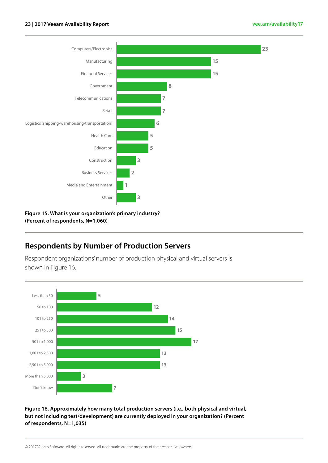#### **23 | 2017 Veeam Availability Report [vee.am/availability17](http://vee.am/availability14 )**



**Figure 15. What is your organization's primary industry? (Percent of respondents, N=1,060)**

### **Respondents by Number of Production Servers**

Respondent organizations' number of production physical and virtual servers is shown in Figure 16.



**Figure 16. Approximately how many total production servers (i.e., both physical and virtual, but not including test/development) are currently deployed in your organization? (Percent of respondents, N=1,035)**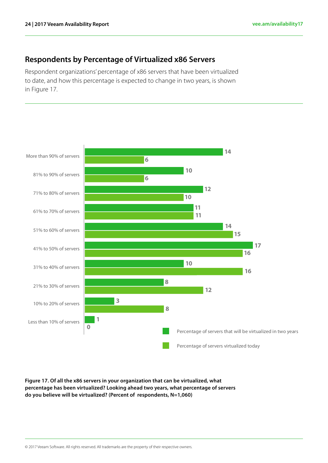### **Respondents by Percentage of Virtualized x86 Servers**

Respondent organizations' percentage of x86 servers that have been virtualized to date, and how this percentage is expected to change in two years, is shown in Figure 17.



**Figure 17. Of all the x86 servers in your organization that can be virtualized, what percentage has been virtualized? Looking ahead two years, what percentage of servers do you believe will be virtualized? (Percent of respondents, N=1,060)**